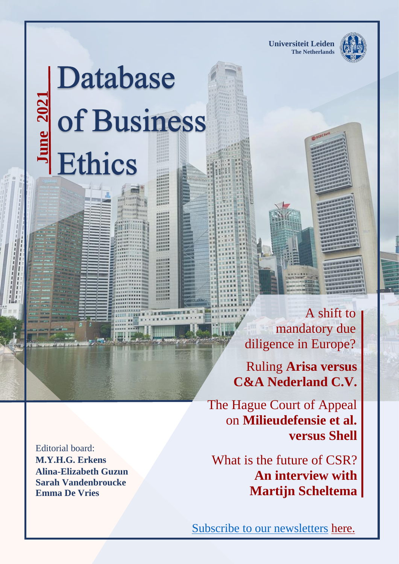**Universiteit Leiden The Netherlands** 



# Database **1 June 202**

 A shift to mandatory due diligence in Europe?

Ruling **[Arisa versus](https://www.imvoconvenanten.nl/en/garments-textile/news/eerste-uitspraak-klacht)  [C&A Nederland C.V.](https://www.imvoconvenanten.nl/en/garments-textile/news/eerste-uitspraak-klacht)**

The Hague Court of Appeal on **Milieudefensie et al. versus Shell**

What is the future of CSR? **An interview with Martijn Scheltema**

Editorial board: **M.Y.H.G. Erkens Alina-Elizabeth Guzun Sarah Vandenbroucke Emma De Vries**

Subscribe to our newsletters [here.](https://www.db-business-ethics.org/newsletter)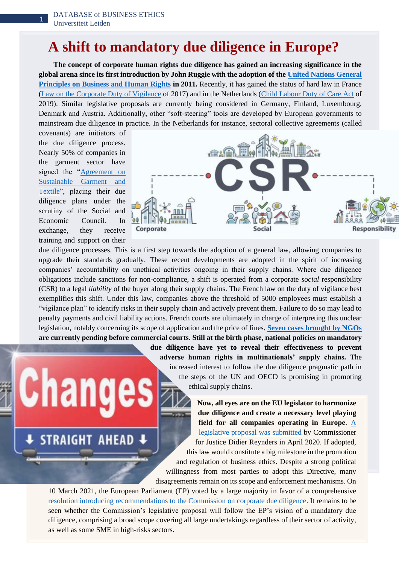1

#### **A shift to mandatory due diligence in Europe?**

 **The concept of corporate human rights due diligence has gained an increasing significance in the global arena since its first introduction by John Ruggie with the adoption of the [United Nations General](https://www.ohchr.org/documents/publications/guidingprinciplesbusinesshr_en.pdf)  [Principles on Business and Human Rights](https://www.ohchr.org/documents/publications/guidingprinciplesbusinesshr_en.pdf) in 2011.** Recently, it has gained the status of hard law in France [\(Law on the Corporate Duty of Vigilance](https://www.legifrance.gouv.fr/loda/id/JORFTEXT000034290626/) of 2017) and in the Netherlands [\(Child Labour Duty of Care Act](https://www.government.nl/documents/publications/2017/02/07/child-labour-duty-of-care) of 2019). Similar legislative proposals are currently being considered in Germany, Finland, Luxembourg, Denmark and Austria. Additionally, other "soft-steering" tools are developed by European governments to mainstream due diligence in practice. In the Netherlands for instance, sectoral collective agreements (called

covenants) are initiators of the due diligence process. Nearly 50% of companies in the garment sector have signed the "Agreement on [Sustainable Garment and](https://www.imvoconvenanten.nl/en/garments-textile)  [Textile"](https://www.imvoconvenanten.nl/en/garments-textile), placing their due diligence plans under the scrutiny of the Social and Economic Council. In exchange, they receive training and support on their

**STRAIGHT AHEAD** 



due diligence processes. This is a first step towards the adoption of a general law, allowing companies to upgrade their standards gradually. These recent developments are adopted in the spirit of increasing companies' accountability on unethical activities ongoing in their supply chains. Where due diligence obligations include sanctions for non-compliance, a shift is operated from a corporate *social* responsibility (CSR) to a legal *liability* of the buyer along their supply chains. The French law on the duty of vigilance best exemplifies this shift. Under this law, companies above the threshold of 5000 employees must establish a "vigilance plan" to identify risks in their supply chain and actively prevent them. Failure to do so may lead to penalty payments and civil liability actions. French courts are ultimately in charge of interpreting this unclear legislation, notably concerning its scope of application and the price of fines. **[Seven cases brought by NGOs](https://www.cambridge.org/core/blog/2020/01/24/all-eyes-on-france-french-vigilance-law-first-enforcement-cases-1-2-current-cases-and-trends/) are currently pending before commercial courts. Still at the birth phase, national policies on mandatory** 

> **due diligence have yet to reveal their effectiveness to prevent adverse human rights in multinationals' supply chains.** The increased interest to follow the due diligence pragmatic path in the steps of the UN and OECD is promising in promoting ethical supply chains.

**Now, all eyes are on the EU legislator to harmonize due diligence and create a necessary level playing field for all companies operating in Europe**. [A](https://www.db-business-ethics.org/images/newsletter/Newsletter-new-format/newsletter_dec_20.pdf)  [legislative proposal was submitted](https://www.db-business-ethics.org/images/newsletter/Newsletter-new-format/newsletter_dec_20.pdf) by Commissioner for Justice Didier Reynders in April 2020. If adopted, this law would constitute a big milestone in the promotion and regulation of business ethics. Despite a strong political willingness from most parties to adopt this Directive, many disagreements remain on its scope and enforcement mechanisms. On

10 March 2021, the European Parliament (EP) voted by a large majority in favor of a comprehensive [resolution introducing recommendations to the Commission on corporate due diligence.](https://www.europarl.europa.eu/doceo/document/TA-9-2021-0073_EN.html) It remains to be seen whether the Commission's legislative proposal will follow the EP's vision of a mandatory due diligence, comprising a broad scope covering all large undertakings regardless of their sector of activity, as well as some SME in high-risks sectors.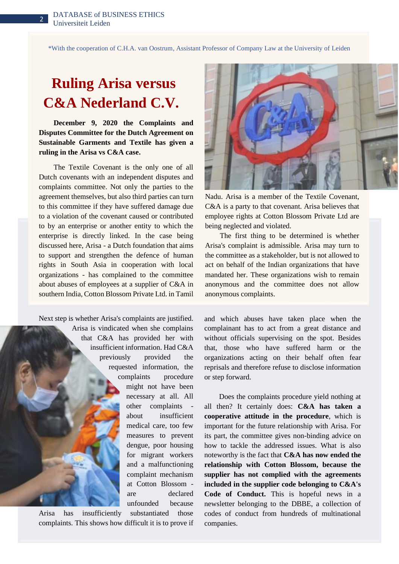2

\*With the cooperation of C.H.A. van Oostrum, Assistant Professor of Company Law at the University of Leiden

## **[Ruling Arisa versus](https://www.imvoconvenanten.nl/en/garments-textile/news/eerste-uitspraak-klacht) [C&A Nederland C.V.](https://www.imvoconvenanten.nl/en/garments-textile/news/eerste-uitspraak-klacht)**

 **December 9, 2020 the Complaints and Disputes Committee for the Dutch Agreement on Sustainable Garments and Textile has given a ruling in the Arisa vs C&A case.**

 The Textile Covenant is the only one of all Dutch covenants with an independent disputes and complaints committee. Not only the parties to the agreement themselves, but also third parties can turn to this committee if they have suffered damage due to a violation of the covenant caused or contributed to by an enterprise or another entity to which the enterprise is directly linked. In the case being discussed here, Arisa - a Dutch foundation that aims to support and strengthen the defence of human rights in South Asia in cooperation with local organizations - has complained to the committee about abuses of employees at a supplier of C&A in southern India, Cotton Blossom Private Ltd. in Tamil

Next step is whether Arisa's complaints are justified. Arisa is vindicated when she complains that C&A has provided her with insufficient information. Had C&A previously provided the requested information, the complaints procedure might not have been necessary at all. All other complaints about insufficient medical care, too few measures to prevent dengue, poor housing for migrant workers and a malfunctioning complaint mechanism at Cotton Blossom are declared unfounded because Arisa has insufficiently substantiated those

complaints. This shows how difficult it is to prove if



Nadu. Arisa is a member of the Textile Covenant, C&A is a party to that covenant. Arisa believes that employee rights at Cotton Blossom Private Ltd are being neglected and violated.

 The first thing to be determined is whether Arisa's complaint is admissible. Arisa may turn to the committee as a stakeholder, but is not allowed to act on behalf of the Indian organizations that have mandated her. These organizations wish to remain anonymous and the committee does not allow anonymous complaints.

and which abuses have taken place when the complainant has to act from a great distance and without officials supervising on the spot. Besides that, those who have suffered harm or the organizations acting on their behalf often fear reprisals and therefore refuse to disclose information or step forward.

 Does the complaints procedure yield nothing at all then? It certainly does: **C&A has taken a cooperative attitude in the procedure**, which is important for the future relationship with Arisa. For its part, the committee gives non-binding advice on how to tackle the addressed issues. What is also noteworthy is the fact that **C&A has now ended the relationship with Cotton Blossom, because the supplier has not complied with the agreements included in the supplier code belonging to C&A's Code of Conduct.** This is hopeful news in a newsletter belonging to the DBBE, a collection of codes of conduct from hundreds of multinational companies.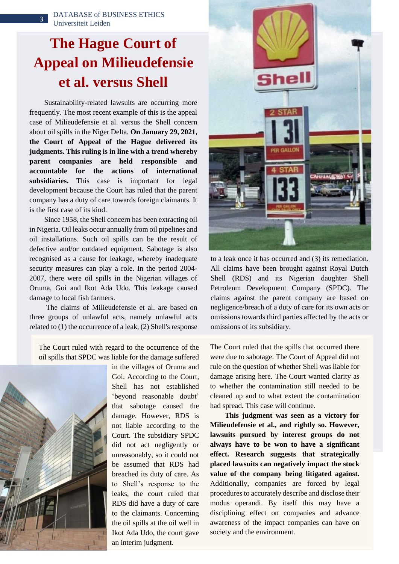# **The Hague Court of Appeal on Milieudefensie et al. versus Shell**

Sustainability-related lawsuits are occurring more frequently. The most recent example of this is the appeal case of Milieudefensie et al. versus the Shell concern about oil spills in the Niger Delta. **On January 29, 2021, the Court of Appeal of the Hague delivered its judgments. This ruling is in line with a trend whereby parent companies are held responsible and accountable for the actions of international subsidiaries.** This case is important for legal development because the Court has ruled that the parent company has a duty of care towards foreign claimants. It is the first case of its kind.

 Since 1958, the Shell concern has been extracting oil in Nigeria. Oil leaks occur annually from oil pipelines and oil installations. Such oil spills can be the result of defective and/or outdated equipment. Sabotage is also recognised as a cause for leakage, whereby inadequate security measures can play a role. In the period 2004- 2007, there were oil spills in the Nigerian villages of Oruma, Goi and Ikot Ada Udo. This leakage caused damage to local fish farmers.

 The claims of Milieudefensie et al. are based on three groups of unlawful acts, namely unlawful acts related to (1) the occurrence of a leak, (2) Shell's response

The Court ruled with regard to the occurrence of the oil spills that SPDC was liable for the damage suffered



in the villages of Oruma and Goi. According to the Court, Shell has not established 'beyond reasonable doubt' that sabotage caused the damage. However, RDS is not liable according to the Court. The subsidiary SPDC did not act negligently or unreasonably, so it could not be assumed that RDS had breached its duty of care. As to Shell's response to the leaks, the court ruled that RDS did have a duty of care to the claimants. Concerning the oil spills at the oil well in Ikot Ada Udo, the court gave an interim judgment.



to a leak once it has occurred and (3) its remediation. All claims have been brought against Royal Dutch Shell (RDS) and its Nigerian daughter Shell Petroleum Development Company (SPDC). The claims against the parent company are based on negligence/breach of a duty of care for its own acts or omissions towards third parties affected by the acts or omissions of its subsidiary.

The Court ruled that the spills that occurred there were due to sabotage. The Court of Appeal did not rule on the question of whether Shell was liable for damage arising here. The Court wanted clarity as to whether the contamination still needed to be cleaned up and to what extent the contamination had spread. This case will continue.

 **This judgment was seen as a victory for Milieudefensie et al., and rightly so. However, lawsuits pursued by interest groups do not always have to be won to have a significant effect. Research suggests that strategically placed lawsuits can negatively impact the stock value of the company being litigated against.** Additionally, companies are forced by legal procedures to accurately describe and disclose their modus operandi. By itself this may have a disciplining effect on companies and advance awareness of the impact companies can have on society and the environment.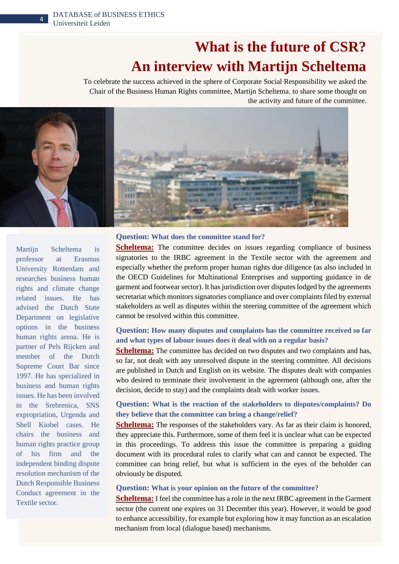4

## **What is the future of CSR? An interview with Martijn Scheltema**

To celebrate the success achieved in the sphere of Corporate Social Responsibility we asked the Chair of the Business Human Rights committee, Martijn Scheltema, to share some thought on the activity and future of the committee.



**Scheltema:** The committee decides on issues regarding compliance of business signatories to the IRBC agreement in the Textile sector with the agreement and especially whether the preform proper human rights due diligence (as also included in the OECD Guidelines for Multinational Enterprises and supporting guidance in de garment and footwear sector). It has jurisdiction over disputes lodged by the agreements secretariat which monitors signatories compliance and over complaints filed by external stakeholders as well as disputes within the steering committee of the agreement which cannot be resolved within this committee. **Question: How many disputes and complaints has the committee received so far and what types of labour issues does it deal with on a regular basis? Scheltema:** The committee has decided on two disputes and two complaints and has, so far, not dealt with any unresolved dispute in the steering committee. All decisions are published in Dutch and English on its website. The disputes dealt with companies who desired to terminate their involvement in the agreement (although one, after the decision, decide to stay) and the complaints dealt with worker issues.

**Question: What is the reaction of the stakeholders to disputes/complaints? Do they believe that the committee can bring a change/relief? Scheltema:** The responses of the stakeholders vary. As far as their claim is honored, they appreciate this. Furthermore, some of them feel it is unclear what can be expected in this proceedings. To address this issue the committee is preparing a guiding

document with its procedural rules to clarify what can and cannot be expected. The committee can bring relief, but what is sufficient in the eyes of the beholder can obviously be disputed.

#### **Question: What is your opinion on the future of the committee?**

**Scheltema:** I feel the committee has a role in the next IRBC agreement in the Garment sector (the current one expires on 31 December this year). However, it would be good to enhance accessibility, for example but exploring how it may function as an escalation mechanism from local (dialogue based) mechanisms.

Martijn Scheltema is professor at Erasmus University Rotterdam and researches business human rights and climate change related issues. He has advised the Dutch State Department on legislative options in the business human rights arena. He is partner of Pels Rijcken and member of the Dutch Supreme Court Bar since 1997. He has specialized in business and human rights issues. He has been involved in the Srebrenica, SNS expropriation, Urgenda and Shell Kiobel cases. He chairs the business and human rights practice group of his firm and the independent binding dispute resolution mechanism of the Dutch Responsible Business Conduct agreement in the Textile sector.